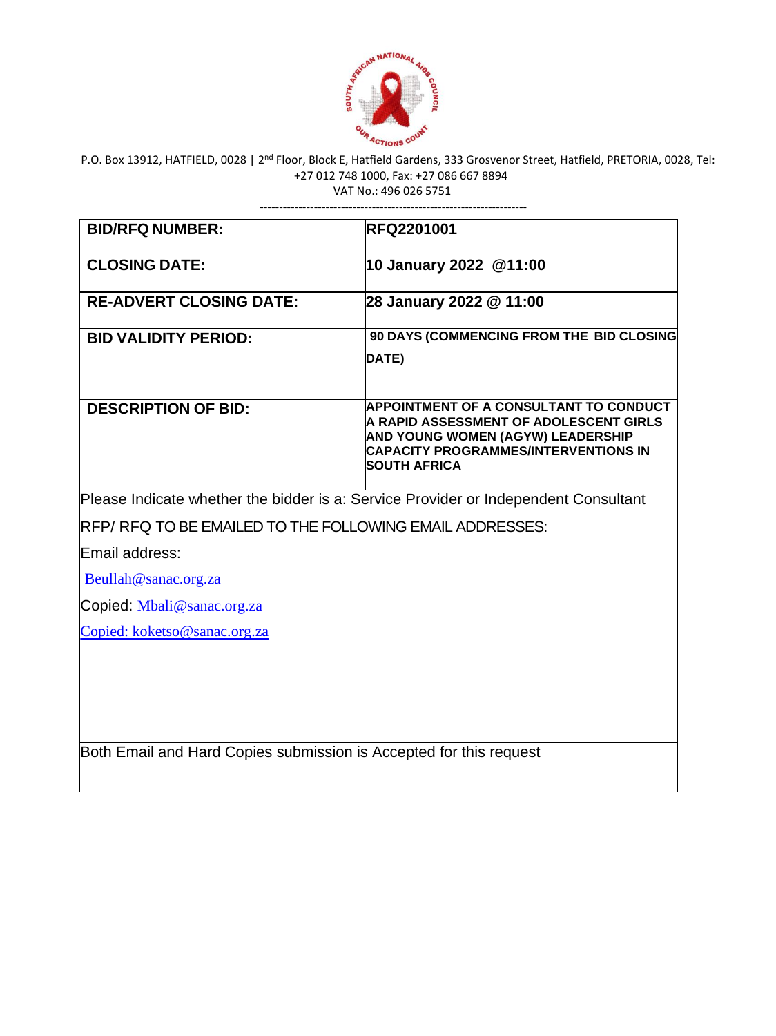

# P.O. Box 13912, HATFIELD, 0028 | 2<sup>nd</sup> Floor, Block E, Hatfield Gardens, 333 Grosvenor Street, Hatfield, PRETORIA, 0028, Tel: +27 012 748 1000, Fax: +27 086 667 8894

VAT No.: 496 026 5751

---------------------------------------------------------------------

| <b>BID/RFQ NUMBER:</b>                                                              | <b>RFQ2201001</b>                                                                                                                                                                           |
|-------------------------------------------------------------------------------------|---------------------------------------------------------------------------------------------------------------------------------------------------------------------------------------------|
| <b>CLOSING DATE:</b>                                                                | 10 January 2022 @11:00                                                                                                                                                                      |
| <b>RE-ADVERT CLOSING DATE:</b>                                                      | 28 January 2022 @ 11:00                                                                                                                                                                     |
| <b>BID VALIDITY PERIOD:</b>                                                         | 90 DAYS (COMMENCING FROM THE BID CLOSING<br>DATE)                                                                                                                                           |
| <b>DESCRIPTION OF BID:</b>                                                          | APPOINTMENT OF A CONSULTANT TO CONDUCT<br>A RAPID ASSESSMENT OF ADOLESCENT GIRLS<br>AND YOUNG WOMEN (AGYW) LEADERSHIP<br><b>CAPACITY PROGRAMMES/INTERVENTIONS IN</b><br><b>SOUTH AFRICA</b> |
| Please Indicate whether the bidder is a: Service Provider or Independent Consultant |                                                                                                                                                                                             |
| RFP/RFQ TO BE EMAILED TO THE FOLLOWING EMAIL ADDRESSES:                             |                                                                                                                                                                                             |
| Email address:                                                                      |                                                                                                                                                                                             |
| Beullah@sanac.org.za                                                                |                                                                                                                                                                                             |
| Copied: Mbali@sanac.org.za                                                          |                                                                                                                                                                                             |
| Copied: koketso@sanac.org.za                                                        |                                                                                                                                                                                             |
|                                                                                     |                                                                                                                                                                                             |
| Both Email and Hard Copies submission is Accepted for this request                  |                                                                                                                                                                                             |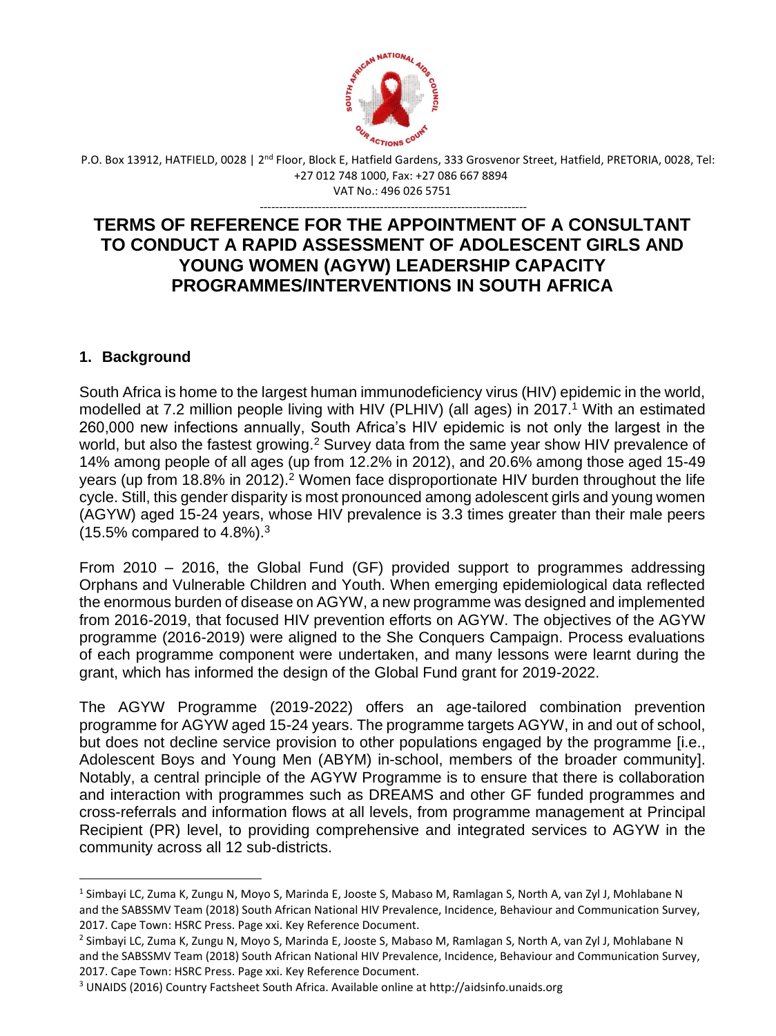

P.O. Box 13912, HATFIELD, 0028 | 2<sup>nd</sup> Floor, Block E, Hatfield Gardens, 333 Grosvenor Street, Hatfield, PRETORIA, 0028, Tel: +27 012 748 1000, Fax: +27 086 667 8894 VAT No.: 496 026 5751

---------------------------------------------------------------------

## **TERMS OF REFERENCE FOR THE APPOINTMENT OF A CONSULTANT TO CONDUCT A RAPID ASSESSMENT OF ADOLESCENT GIRLS AND YOUNG WOMEN (AGYW) LEADERSHIP CAPACITY PROGRAMMES/INTERVENTIONS IN SOUTH AFRICA**

## **1. Background**

South Africa is home to the largest human immunodeficiency virus (HIV) epidemic in the world, modelled at 7.2 million people living with HIV (PLHIV) (all ages) in 2017.<sup>1</sup> With an estimated 260,000 new infections annually, South Africa's HIV epidemic is not only the largest in the world, but also the fastest growing.<sup>2</sup> Survey data from the same year show HIV prevalence of 14% among people of all ages (up from 12.2% in 2012), and 20.6% among those aged 15-49 years (up from  $18.8\%$  in 2012).<sup>2</sup> Women face disproportionate HIV burden throughout the life cycle. Still, this gender disparity is most pronounced among adolescent girls and young women (AGYW) aged 15-24 years, whose HIV prevalence is 3.3 times greater than their male peers  $(15.5\%$  compared to  $4.8\%$ ).<sup>3</sup>

From 2010 – 2016, the Global Fund (GF) provided support to programmes addressing Orphans and Vulnerable Children and Youth. When emerging epidemiological data reflected the enormous burden of disease on AGYW, a new programme was designed and implemented from 2016-2019, that focused HIV prevention efforts on AGYW. The objectives of the AGYW programme (2016-2019) were aligned to the She Conquers Campaign. Process evaluations of each programme component were undertaken, and many lessons were learnt during the grant, which has informed the design of the Global Fund grant for 2019-2022.

The AGYW Programme (2019-2022) offers an age-tailored combination prevention programme for AGYW aged 15-24 years. The programme targets AGYW, in and out of school, but does not decline service provision to other populations engaged by the programme [i.e., Adolescent Boys and Young Men (ABYM) in-school, members of the broader community]. Notably, a central principle of the AGYW Programme is to ensure that there is collaboration and interaction with programmes such as DREAMS and other GF funded programmes and cross-referrals and information flows at all levels, from programme management at Principal Recipient (PR) level, to providing comprehensive and integrated services to AGYW in the community across all 12 sub-districts.

<sup>&</sup>lt;sup>1</sup> Simbayi LC, Zuma K, Zungu N, Moyo S, Marinda E, Jooste S, Mabaso M, Ramlagan S, North A, van Zyl J, Mohlabane N and the SABSSMV Team (2018) South African National HIV Prevalence, Incidence, Behaviour and Communication Survey, 2017. Cape Town: HSRC Press. Page xxi. Key Reference Document.

<sup>2</sup> Simbayi LC, Zuma K, Zungu N, Moyo S, Marinda E, Jooste S, Mabaso M, Ramlagan S, North A, van Zyl J, Mohlabane N and the SABSSMV Team (2018) South African National HIV Prevalence, Incidence, Behaviour and Communication Survey, 2017. Cape Town: HSRC Press. Page xxi. Key Reference Document.

<sup>3</sup> UNAIDS (2016) Country Factsheet South Africa. Available online at http://aidsinfo.unaids.org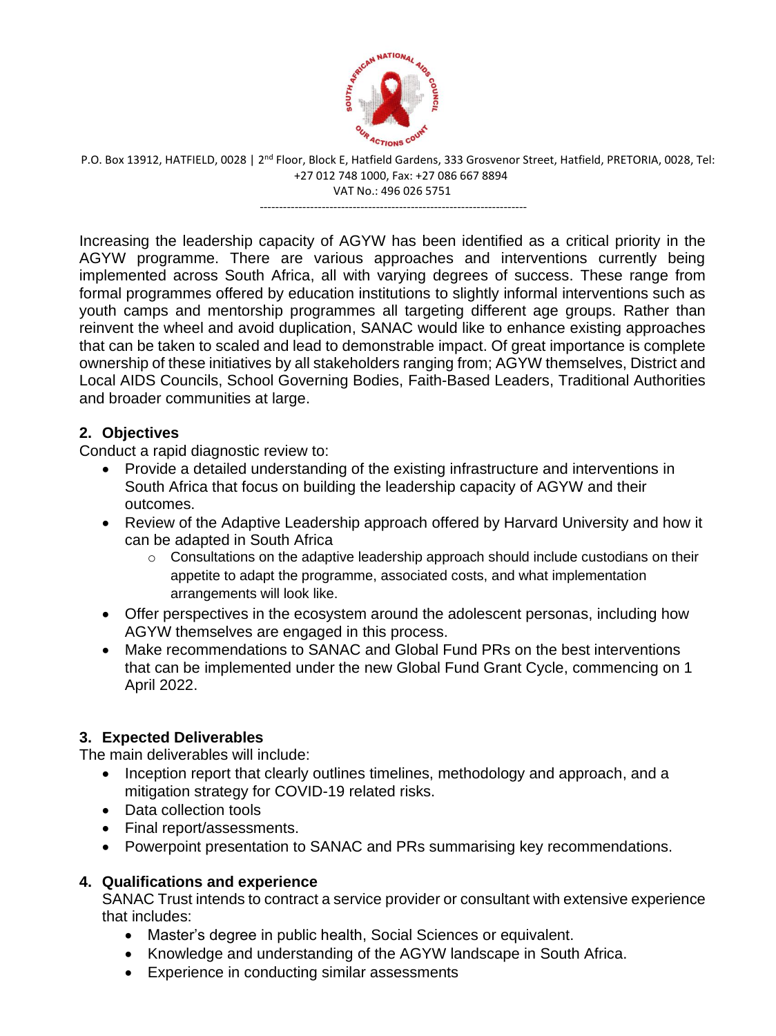

P.O. Box 13912, HATFIELD, 0028 | 2<sup>nd</sup> Floor, Block E, Hatfield Gardens, 333 Grosvenor Street, Hatfield, PRETORIA, 0028, Tel: +27 012 748 1000, Fax: +27 086 667 8894 VAT No.: 496 026 5751

---------------------------------------------------------------------

Increasing the leadership capacity of AGYW has been identified as a critical priority in the AGYW programme. There are various approaches and interventions currently being implemented across South Africa, all with varying degrees of success. These range from formal programmes offered by education institutions to slightly informal interventions such as youth camps and mentorship programmes all targeting different age groups. Rather than reinvent the wheel and avoid duplication, SANAC would like to enhance existing approaches that can be taken to scaled and lead to demonstrable impact. Of great importance is complete ownership of these initiatives by all stakeholders ranging from; AGYW themselves, District and Local AIDS Councils, School Governing Bodies, Faith-Based Leaders, Traditional Authorities and broader communities at large.

## **2. Objectives**

Conduct a rapid diagnostic review to:

- Provide a detailed understanding of the existing infrastructure and interventions in South Africa that focus on building the leadership capacity of AGYW and their outcomes.
- Review of the Adaptive Leadership approach offered by Harvard University and how it can be adapted in South Africa
	- o Consultations on the adaptive leadership approach should include custodians on their appetite to adapt the programme, associated costs, and what implementation arrangements will look like.
- Offer perspectives in the ecosystem around the adolescent personas, including how AGYW themselves are engaged in this process.
- Make recommendations to SANAC and Global Fund PRs on the best interventions that can be implemented under the new Global Fund Grant Cycle, commencing on 1 April 2022.

## **3. Expected Deliverables**

The main deliverables will include:

- Inception report that clearly outlines timelines, methodology and approach, and a mitigation strategy for COVID-19 related risks.
- Data collection tools
- Final report/assessments.
- Powerpoint presentation to SANAC and PRs summarising key recommendations.

## **4. Qualifications and experience**

SANAC Trust intends to contract a service provider or consultant with extensive experience that includes:

- Master's degree in public health, Social Sciences or equivalent.
- Knowledge and understanding of the AGYW landscape in South Africa.
- Experience in conducting similar assessments